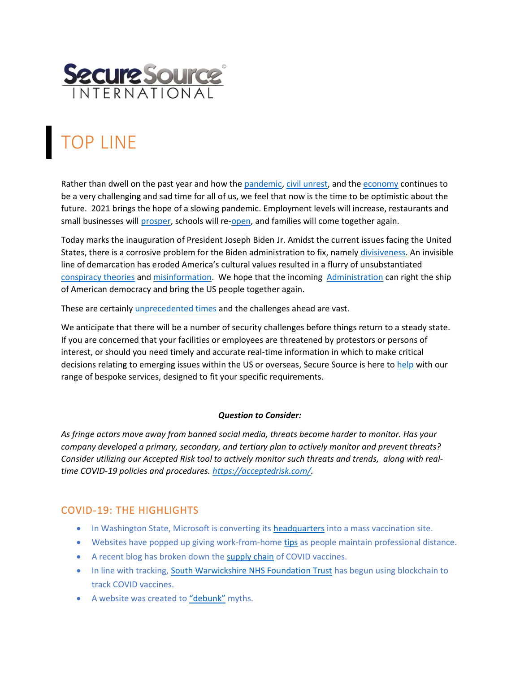

# TOP LINE

Rather than dwell on the past year and how the [pandemic,](https://www.latimes.com/california/story/2021-01-17/covid-19-coronavirus-vaccine-update-pandemic) [civil unrest,](https://www.wsj.com/articles/walmart-pulls-guns-ammo-displays-in-u-s-stores-citing-civil-unrest-11604002136) and th[e economy](https://www.marketplace.org/2020/12/29/jim-rogers-warns-stock-bubble-will-grow-in-2021-ive-seen-this-movie-before/) continues to be a very challenging and sad time for all of us, we feel that now is the time to be optimistic about the future. 2021 brings the hope of a slowing pandemic. Employment levels will increase, restaurants and small businesses will [prosper,](https://www.inc.com/diana-ransom/joe-biden-first-100-days-46-president-covid-19-relief.html) schools will re[-open,](https://www.cnbc.com/2021/01/19/teachers-are-eligible-for-the-covid-vaccine-as-schools-try-to-reopen.html) and families will come together again.

Today marks the inauguration of President Joseph Biden Jr. Amidst the current issues facing the United States, there is a corrosive problem for the Biden administration to fix, namely [divisiveness.](https://kslnewsradio.com/1940187/live-mic-bidens-national-security-challenge-to-protect-against-enemies-foreign-and-domestic/) An invisible line of demarcation has eroded America's cultural values resulted in a flurry of unsubstantiated [conspiracy theories](https://www.abqjournal.com/1537663/losing-friends-to-qanons-dark-conspiracies.html) an[d misinformation.](https://www.cnn.com/videos/business/2021/01/19/maria-bartiromo-fox-news-capitol-riot-max-boot-cooper-vpx.cnn) We hope that the incoming [Administration](https://www.vox.com/2021/1/19/22238436/biden-uk-germany-france-presidency-election) can right the ship of American democracy and bring the US people together again.

These are certainly *unprecedented times* and the challenges ahead are vast.

We anticipate that there will be a number of security challenges before things return to a steady state. If you are concerned that your facilities or employees are threatened by protestors or persons of interest, or should you need timely and accurate real-time information in which to make critical decisions relating to emerging issues within the US or overseas, Secure Source is here to [help](http://www.securesource.com/case-studies.html) with our range of bespoke services, designed to fit your specific requirements.

#### *Question to Consider:*

*As fringe actors move away from banned social media, threats become harder to monitor. Has your company developed a primary, secondary, and tertiary plan to actively monitor and prevent threats? Consider utilizing our Accepted Risk tool to actively monitor such threats and trends, along with realtime COVID-19 policies and procedures. [https://acceptedrisk.com/.](https://acceptedrisk.com/)* 

## COVID-19: THE HIGHLIGHTS

- In Washington State, Microsoft is converting its [headquarters](https://www.thegamer.com/microsoft-turning-hq-mass-vaccination-site/) into a mass vaccination site.
- Websites have popped up giving work-from-hom[e tips](https://skillcrush.com/blog/how-to-work-remote/) as people maintain professional distance.
- A recent blog has broken down the [supply chain](https://blog.jonasneubert.com/2021/01/10/exploring-the-supply-chain-of-the-pfizer-biontech-and-moderna-covid-19-vaccines/) of COVID vaccines.
- In line with tracking, [South Warwickshire NHS Foundation Trust](https://fortune.com/2021/01/19/hospital-uk-blockchain-vaccines/) has begun using blockchain to track COVID vaccines.
- A website was created to ["debunk"](https://www.covidfaq.co/) myths.